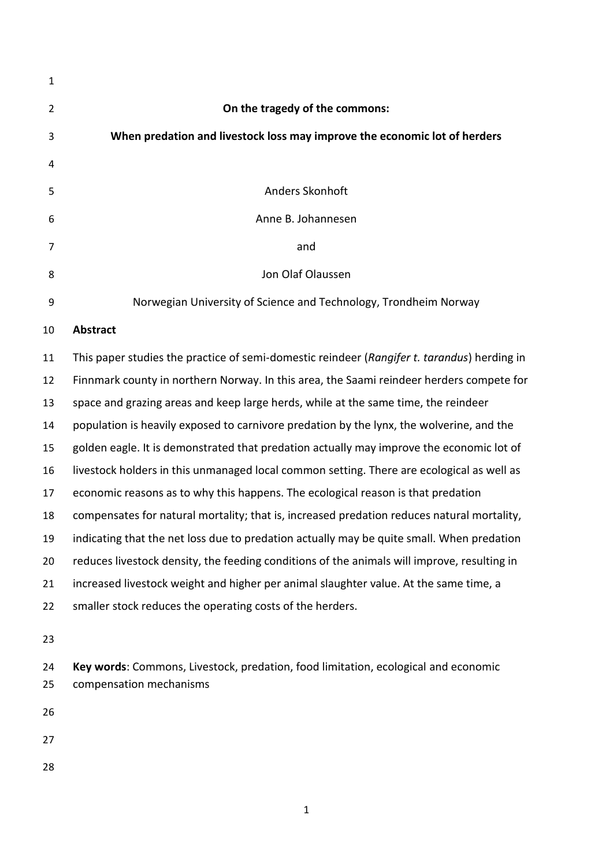| 1  |                                                                                             |
|----|---------------------------------------------------------------------------------------------|
| 2  | On the tragedy of the commons:                                                              |
| 3  | When predation and livestock loss may improve the economic lot of herders                   |
| 4  |                                                                                             |
| 5  | Anders Skonhoft                                                                             |
| 6  | Anne B. Johannesen                                                                          |
| 7  | and                                                                                         |
| 8  | Jon Olaf Olaussen                                                                           |
| 9  | Norwegian University of Science and Technology, Trondheim Norway                            |
| 10 | <b>Abstract</b>                                                                             |
| 11 | This paper studies the practice of semi-domestic reindeer (Rangifer t. tarandus) herding in |
| 12 | Finnmark county in northern Norway. In this area, the Saami reindeer herders compete for    |
| 13 | space and grazing areas and keep large herds, while at the same time, the reindeer          |
| 14 | population is heavily exposed to carnivore predation by the lynx, the wolverine, and the    |
| 15 | golden eagle. It is demonstrated that predation actually may improve the economic lot of    |
| 16 | livestock holders in this unmanaged local common setting. There are ecological as well as   |
| 17 | economic reasons as to why this happens. The ecological reason is that predation            |
| 18 | compensates for natural mortality; that is, increased predation reduces natural mortality,  |
| 19 | indicating that the net loss due to predation actually may be quite small. When predation   |
| 20 | reduces livestock density, the feeding conditions of the animals will improve, resulting in |
| 21 | increased livestock weight and higher per animal slaughter value. At the same time, a       |

- smaller stock reduces the operating costs of the herders.
- 

 **Key words**: Commons, Livestock, predation, food limitation, ecological and economic compensation mechanisms

- 
- 
-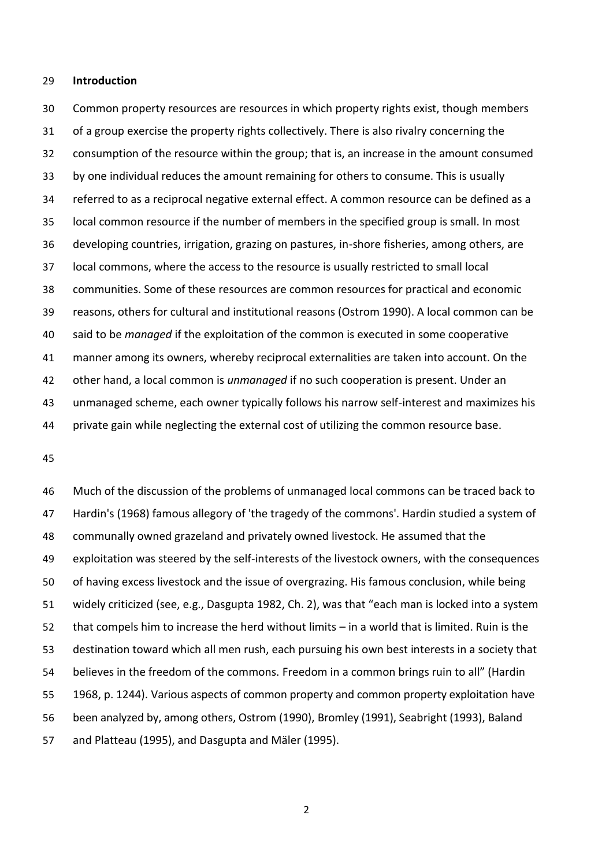#### **Introduction**

 Common property resources are resources in which property rights exist, though members of a group exercise the property rights collectively. There is also rivalry concerning the consumption of the resource within the group; that is, an increase in the amount consumed by one individual reduces the amount remaining for others to consume. This is usually referred to as a reciprocal negative external effect. A common resource can be defined as a local common resource if the number of members in the specified group is small. In most developing countries, irrigation, grazing on pastures, in-shore fisheries, among others, are local commons, where the access to the resource is usually restricted to small local communities. Some of these resources are common resources for practical and economic reasons, others for cultural and institutional reasons (Ostrom 1990). A local common can be said to be *managed* if the exploitation of the common is executed in some cooperative manner among its owners, whereby reciprocal externalities are taken into account. On the other hand, a local common is *unmanaged* if no such cooperation is present. Under an unmanaged scheme, each owner typically follows his narrow self-interest and maximizes his private gain while neglecting the external cost of utilizing the common resource base.

 Much of the discussion of the problems of unmanaged local commons can be traced back to Hardin's (1968) famous allegory of 'the tragedy of the commons'. Hardin studied a system of communally owned grazeland and privately owned livestock. He assumed that the exploitation was steered by the self-interests of the livestock owners, with the consequences of having excess livestock and the issue of overgrazing. His famous conclusion, while being widely criticized (see, e.g., Dasgupta 1982, Ch. 2), was that "each man is locked into a system that compels him to increase the herd without limits – in a world that is limited. Ruin is the destination toward which all men rush, each pursuing his own best interests in a society that believes in the freedom of the commons. Freedom in a common brings ruin to all" (Hardin 1968, p. 1244). Various aspects of common property and common property exploitation have been analyzed by, among others, Ostrom (1990), Bromley (1991), Seabright (1993), Baland and Platteau (1995), and Dasgupta and Mäler (1995).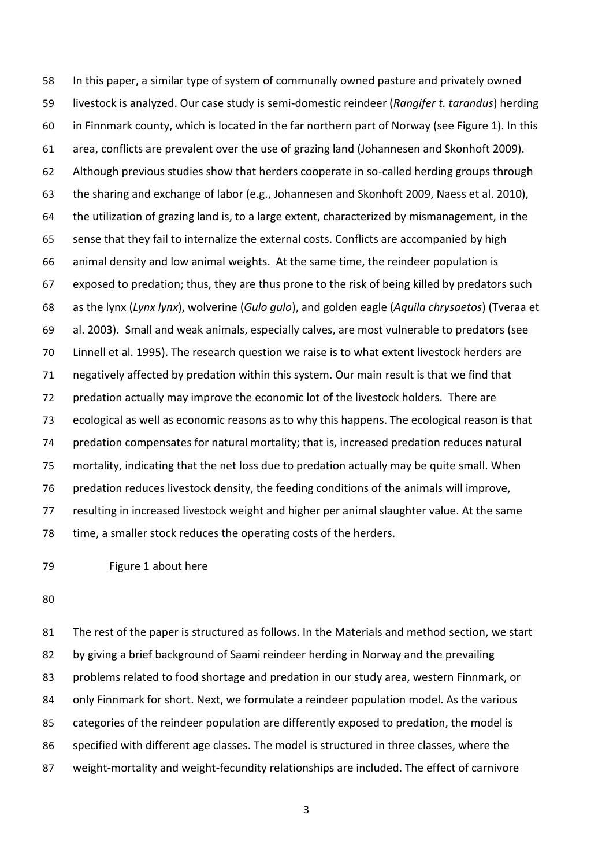In this paper, a similar type of system of communally owned pasture and privately owned livestock is analyzed. Our case study is semi-domestic reindeer (*Rangifer t. tarandus*) herding in Finnmark county, which is located in the far northern part of Norway (see Figure 1). In this area, conflicts are prevalent over the use of grazing land (Johannesen and Skonhoft 2009). Although previous studies show that herders cooperate in so-called herding groups through the sharing and exchange of labor (e.g., Johannesen and Skonhoft 2009, Naess et al. 2010), the utilization of grazing land is, to a large extent, characterized by mismanagement, in the sense that they fail to internalize the external costs. Conflicts are accompanied by high animal density and low animal weights. At the same time, the reindeer population is exposed to predation; thus, they are thus prone to the risk of being killed by predators such as the lynx (*Lynx lynx*), wolverine (*Gulo gulo*), and golden eagle (*Aquila chrysaetos*) (Tveraa et al. 2003). Small and weak animals, especially calves, are most vulnerable to predators (see Linnell et al. 1995). The research question we raise is to what extent livestock herders are negatively affected by predation within this system. Our main result is that we find that predation actually may improve the economic lot of the livestock holders. There are ecological as well as economic reasons as to why this happens. The ecological reason is that predation compensates for natural mortality; that is, increased predation reduces natural mortality, indicating that the net loss due to predation actually may be quite small. When predation reduces livestock density, the feeding conditions of the animals will improve, resulting in increased livestock weight and higher per animal slaughter value. At the same time, a smaller stock reduces the operating costs of the herders.

Figure 1 about here

 The rest of the paper is structured as follows. In the Materials and method section, we start by giving a brief background of Saami reindeer herding in Norway and the prevailing problems related to food shortage and predation in our study area, western Finnmark, or only Finnmark for short. Next, we formulate a reindeer population model. As the various categories of the reindeer population are differently exposed to predation, the model is specified with different age classes. The model is structured in three classes, where the weight-mortality and weight-fecundity relationships are included. The effect of carnivore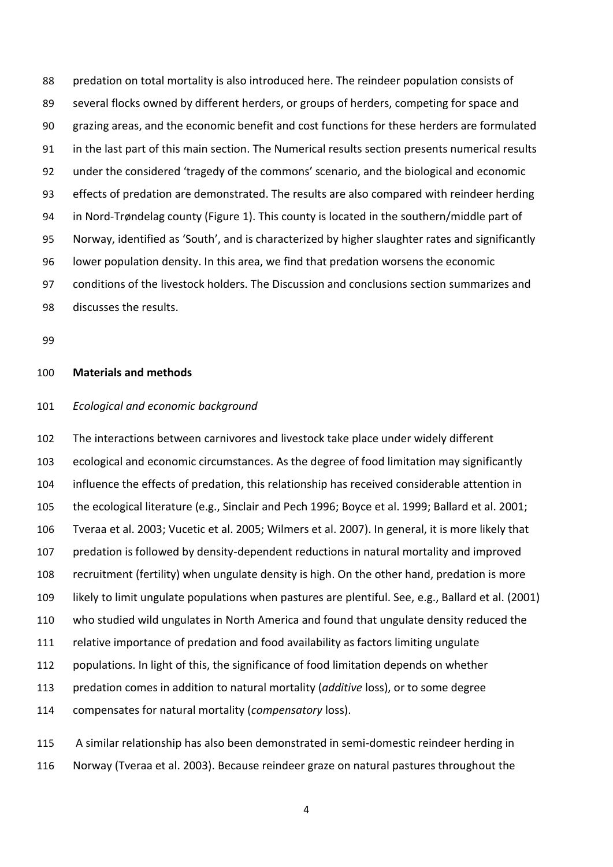predation on total mortality is also introduced here. The reindeer population consists of several flocks owned by different herders, or groups of herders, competing for space and grazing areas, and the economic benefit and cost functions for these herders are formulated in the last part of this main section. The Numerical results section presents numerical results under the considered 'tragedy of the commons' scenario, and the biological and economic effects of predation are demonstrated. The results are also compared with reindeer herding in Nord-Trøndelag county (Figure 1). This county is located in the southern/middle part of Norway, identified as 'South', and is characterized by higher slaughter rates and significantly lower population density. In this area, we find that predation worsens the economic conditions of the livestock holders. The Discussion and conclusions section summarizes and discusses the results.

### **Materials and methods**

# *Ecological and economic background*

 The interactions between carnivores and livestock take place under widely different ecological and economic circumstances. As the degree of food limitation may significantly influence the effects of predation, this relationship has received considerable attention in the ecological literature (e.g., Sinclair and Pech 1996; Boyce et al. 1999; Ballard et al. 2001; Tveraa et al. 2003; Vucetic et al. 2005; Wilmers et al. 2007). In general, it is more likely that predation is followed by density-dependent reductions in natural mortality and improved recruitment (fertility) when ungulate density is high. On the other hand, predation is more likely to limit ungulate populations when pastures are plentiful. See, e.g., Ballard et al. (2001) who studied wild ungulates in North America and found that ungulate density reduced the relative importance of predation and food availability as factors limiting ungulate populations. In light of this, the significance of food limitation depends on whether predation comes in addition to natural mortality (*additive* loss), or to some degree compensates for natural mortality (*compensatory* loss).

 A similar relationship has also been demonstrated in semi-domestic reindeer herding in Norway (Tveraa et al. 2003). Because reindeer graze on natural pastures throughout the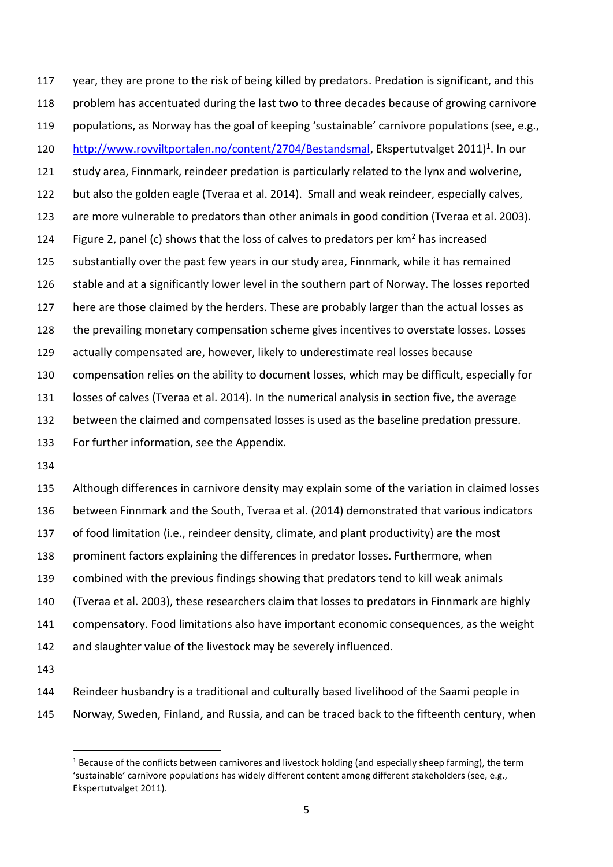year, they are prone to the risk of being killed by predators. Predation is significant, and this problem has accentuated during the last two to three decades because of growing carnivore populations, as Norway has the goal of keeping 'sustainable' carnivore populations (see, e.g., [http://www.rovviltportalen.no/content/2704/Bestandsmal,](http://www.rovviltportalen.no/content/2704/Bestandsmal) Ekspertutvalget 2011)<sup>1</sup>. In our study area, Finnmark, reindeer predation is particularly related to the lynx and wolverine, but also the golden eagle (Tveraa et al. 2014). Small and weak reindeer, especially calves, are more vulnerable to predators than other animals in good condition (Tveraa et al. 2003). 124 Figure 2, panel (c) shows that the loss of calves to predators per  $km^2$  has increased substantially over the past few years in our study area, Finnmark, while it has remained stable and at a significantly lower level in the southern part of Norway. The losses reported here are those claimed by the herders. These are probably larger than the actual losses as the prevailing monetary compensation scheme gives incentives to overstate losses. Losses actually compensated are, however, likely to underestimate real losses because compensation relies on the ability to document losses, which may be difficult, especially for losses of calves (Tveraa et al. 2014). In the numerical analysis in section five, the average between the claimed and compensated losses is used as the baseline predation pressure. For further information, see the Appendix.

 Although differences in carnivore density may explain some of the variation in claimed losses between Finnmark and the South, Tveraa et al. (2014) demonstrated that various indicators of food limitation (i.e., reindeer density, climate, and plant productivity) are the most prominent factors explaining the differences in predator losses. Furthermore, when combined with the previous findings showing that predators tend to kill weak animals (Tveraa et al. 2003), these researchers claim that losses to predators in Finnmark are highly compensatory. Food limitations also have important economic consequences, as the weight and slaughter value of the livestock may be severely influenced. 

**.** 

Reindeer husbandry is a traditional and culturally based livelihood of the Saami people in

Norway, Sweden, Finland, and Russia, and can be traced back to the fifteenth century, when

 Because of the conflicts between carnivores and livestock holding (and especially sheep farming), the term 'sustainable' carnivore populations has widely different content among different stakeholders (see, e.g., Ekspertutvalget 2011).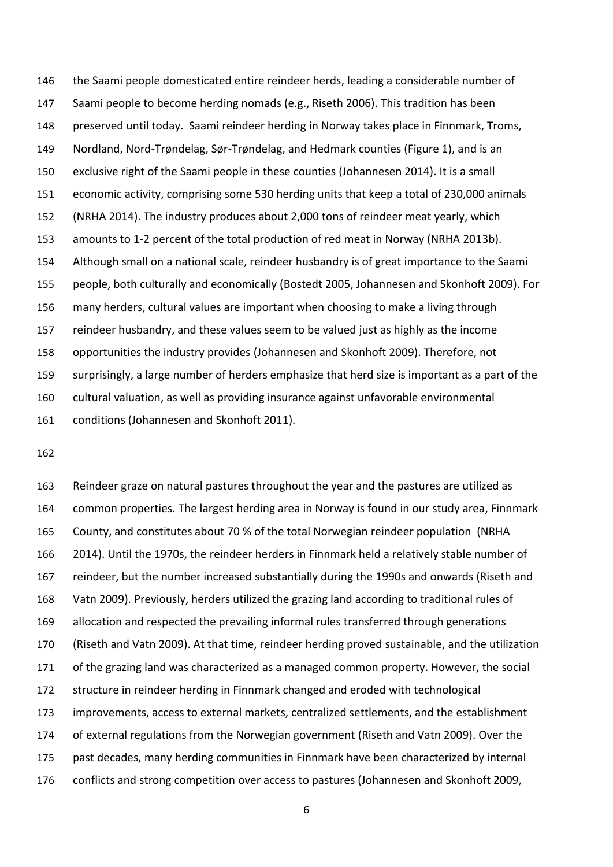the Saami people domesticated entire reindeer herds, leading a considerable number of Saami people to become herding nomads (e.g., Riseth 2006). This tradition has been preserved until today. Saami reindeer herding in Norway takes place in Finnmark, Troms, Nordland, Nord-Trøndelag, Sør-Trøndelag, and Hedmark counties (Figure 1), and is an exclusive right of the Saami people in these counties (Johannesen 2014). It is a small economic activity, comprising some 530 herding units that keep a total of 230,000 animals (NRHA 2014). The industry produces about 2,000 tons of reindeer meat yearly, which amounts to 1-2 percent of the total production of red meat in Norway (NRHA 2013b). Although small on a national scale, reindeer husbandry is of great importance to the Saami people, both culturally and economically (Bostedt 2005, Johannesen and Skonhoft 2009). For many herders, cultural values are important when choosing to make a living through reindeer husbandry, and these values seem to be valued just as highly as the income opportunities the industry provides (Johannesen and Skonhoft 2009). Therefore, not surprisingly, a large number of herders emphasize that herd size is important as a part of the cultural valuation, as well as providing insurance against unfavorable environmental conditions (Johannesen and Skonhoft 2011).

 Reindeer graze on natural pastures throughout the year and the pastures are utilized as common properties. The largest herding area in Norway is found in our study area, Finnmark County, and constitutes about 70 % of the total Norwegian reindeer population (NRHA 2014). Until the 1970s, the reindeer herders in Finnmark held a relatively stable number of reindeer, but the number increased substantially during the 1990s and onwards (Riseth and Vatn 2009). Previously, herders utilized the grazing land according to traditional rules of allocation and respected the prevailing informal rules transferred through generations (Riseth and Vatn 2009). At that time, reindeer herding proved sustainable, and the utilization of the grazing land was characterized as a managed common property. However, the social structure in reindeer herding in Finnmark changed and eroded with technological improvements, access to external markets, centralized settlements, and the establishment of external regulations from the Norwegian government (Riseth and Vatn 2009). Over the past decades, many herding communities in Finnmark have been characterized by internal conflicts and strong competition over access to pastures (Johannesen and Skonhoft 2009,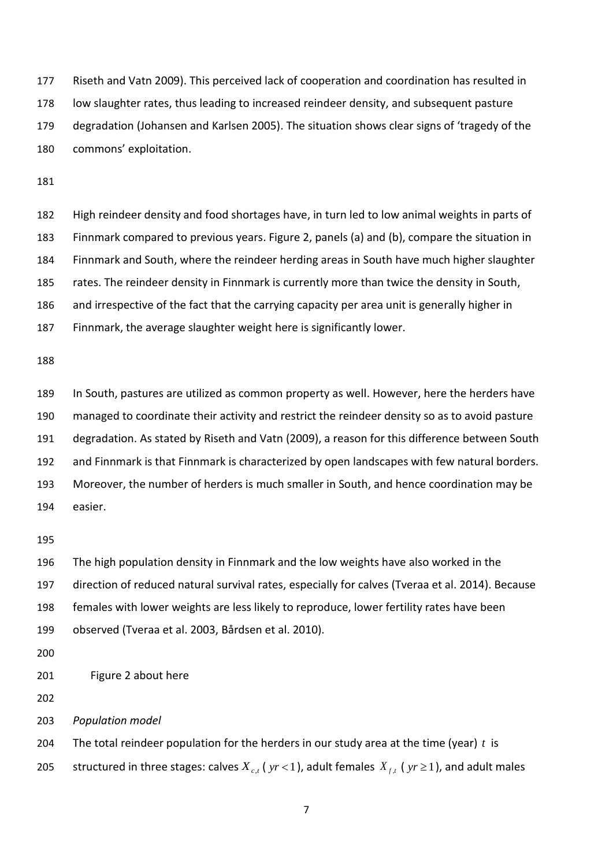Riseth and Vatn 2009). This perceived lack of cooperation and coordination has resulted in low slaughter rates, thus leading to increased reindeer density, and subsequent pasture degradation (Johansen and Karlsen 2005). The situation shows clear signs of 'tragedy of the commons' exploitation.

 High reindeer density and food shortages have, in turn led to low animal weights in parts of Finnmark compared to previous years. Figure 2, panels (a) and (b), compare the situation in Finnmark and South, where the reindeer herding areas in South have much higher slaughter rates. The reindeer density in Finnmark is currently more than twice the density in South, and irrespective of the fact that the carrying capacity per area unit is generally higher in Finnmark, the average slaughter weight here is significantly lower.

 In South, pastures are utilized as common property as well. However, here the herders have managed to coordinate their activity and restrict the reindeer density so as to avoid pasture degradation. As stated by Riseth and Vatn (2009), a reason for this difference between South and Finnmark is that Finnmark is characterized by open landscapes with few natural borders. Moreover, the number of herders is much smaller in South, and hence coordination may be easier.

 The high population density in Finnmark and the low weights have also worked in the direction of reduced natural survival rates, especially for calves (Tveraa et al. 2014). Because females with lower weights are less likely to reproduce, lower fertility rates have been observed (Tveraa et al. 2003, Bårdsen et al. 2010).

Figure 2 about here

*Population model*

204 The total reindeer population for the herders in our study area at the time (year)  $t$  is

205 structured in three stages: calves  $X_{c,t}$  ( $yr < 1$ ), adult females  $X_{f,t}$  ( $yr \ge 1$ ), and adult males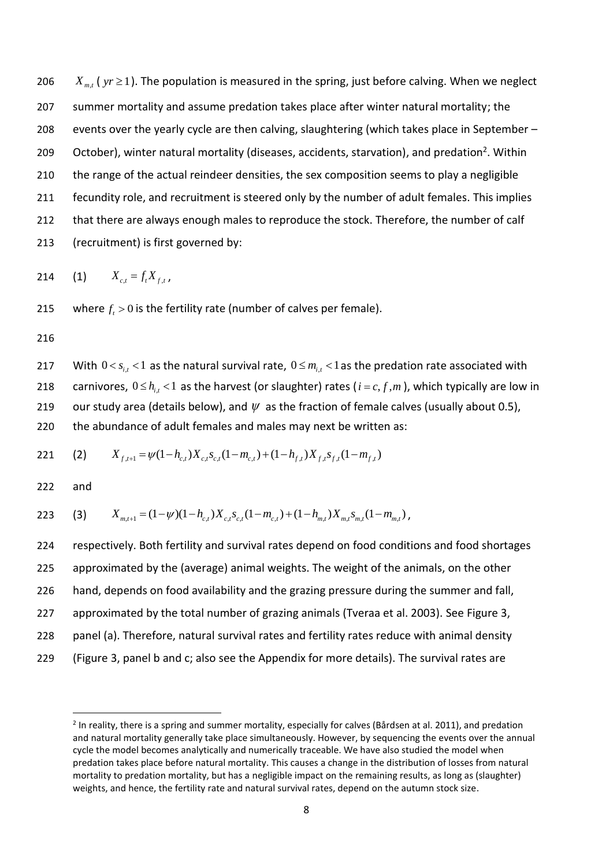$X_{m,t}$  (*yr*  $\geq$  1). The population is measured in the spring, just before calving. When we neglect summer mortality and assume predation takes place after winter natural mortality; the events over the yearly cycle are then calving, slaughtering (which takes place in September – 209 October), winter natural mortality (diseases, accidents, starvation), and predation<sup>2</sup>. Within 210 the range of the actual reindeer densities, the sex composition seems to play a negligible fecundity role, and recruitment is steered only by the number of adult females. This implies that there are always enough males to reproduce the stock. Therefore, the number of calf (recruitment) is first governed by:

214 (1) 
$$
X_{c,t} = f_t X_{f,t}
$$
,

215 where  $f_t > 0$  is the fertility rate (number of calves per female).

216

217 With  $0 < s_{i,t} < 1$  as the natural survival rate,  $0 \le m_{i,t} < 1$  as the predation rate associated with 218 carnivores,  $0 \le h_{i,t} < 1$  as the harvest (or slaughter) rates ( $i = c, f, m$ ), which typically are low in 219 our study area (details below), and  $\psi$  as the fraction of female calves (usually about 0.5),

220 the abundance of adult females and males may next be written as:  
221 (2) 
$$
X_{f,t+1} = \psi(1-h_{c,t})X_{c,t}s_{c,t}(1-m_{c,t}) + (1-h_{f,t})X_{f,t}s_{f,t}(1-m_{f,t})
$$

222 and

**.** 

222 and  
\n223 (3) 
$$
X_{m,t+1} = (1 - \psi)(1 - h_{c,t})X_{c,t}S_{c,t}(1 - m_{c,t}) + (1 - h_{m,t})X_{m,t}S_{m,t}(1 - m_{m,t}),
$$

 respectively. Both fertility and survival rates depend on food conditions and food shortages approximated by the (average) animal weights. The weight of the animals, on the other hand, depends on food availability and the grazing pressure during the summer and fall, approximated by the total number of grazing animals (Tveraa et al. 2003). See Figure 3, panel (a). Therefore, natural survival rates and fertility rates reduce with animal density (Figure 3, panel b and c; also see the Appendix for more details). The survival rates are

<sup>&</sup>lt;sup>2</sup> In reality, there is a spring and summer mortality, especially for calves (Bårdsen at al. 2011), and predation and natural mortality generally take place simultaneously. However, by sequencing the events over the annual cycle the model becomes analytically and numerically traceable. We have also studied the model when predation takes place before natural mortality. This causes a change in the distribution of losses from natural mortality to predation mortality, but has a negligible impact on the remaining results, as long as (slaughter) weights, and hence, the fertility rate and natural survival rates, depend on the autumn stock size.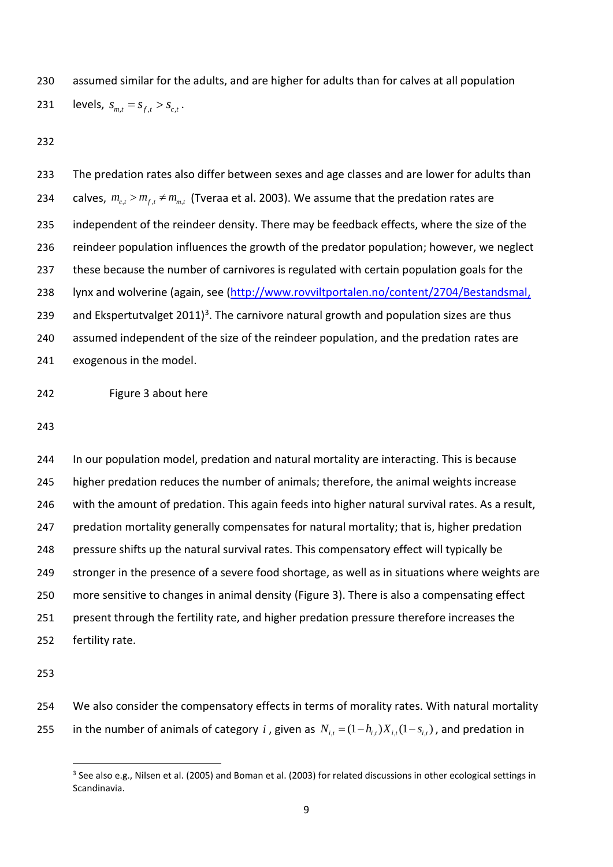assumed similar for the adults, and are higher for adults than for calves at all population levels,  $s_{m,t} = s_{f,t} > s_{c,t}$ . 

 The predation rates also differ between sexes and age classes and are lower for adults than 234 calves,  $m_{c,t} > m_{f,t} \neq m_{m,t}$  (Tveraa et al. 2003). We assume that the predation rates are independent of the reindeer density. There may be feedback effects, where the size of the reindeer population influences the growth of the predator population; however, we neglect 237 these because the number of carnivores is regulated with certain population goals for the 238 lynx and wolverine (again, see [\(http://www.rovviltportalen.no/content/2704/Bestandsmal,](http://www.rovviltportalen.no/content/2704/Bestandsmal) 239 and Ekspertutvalget 2011)<sup>3</sup>. The carnivore natural growth and population sizes are thus assumed independent of the size of the reindeer population, and the predation rates are exogenous in the model.

Figure 3 about here

 In our population model, predation and natural mortality are interacting. This is because higher predation reduces the number of animals; therefore, the animal weights increase with the amount of predation. This again feeds into higher natural survival rates. As a result, predation mortality generally compensates for natural mortality; that is, higher predation pressure shifts up the natural survival rates. This compensatory effect will typically be stronger in the presence of a severe food shortage, as well as in situations where weights are more sensitive to changes in animal density (Figure 3). There is also a compensating effect present through the fertility rate, and higher predation pressure therefore increases the fertility rate.

254 We also consider the compensatory effects in terms of morality rates. With natural mortality

255 in the number of animals of category i, given as  $N_{i,t} = (1-h_{i,t})X_{i,t}(1-s_{i,t})$ , and predation in

<sup>&</sup>lt;sup>3</sup> See also e.g., Nilsen et al. (2005) and Boman et al. (2003) for related discussions in other ecological settings in Scandinavia.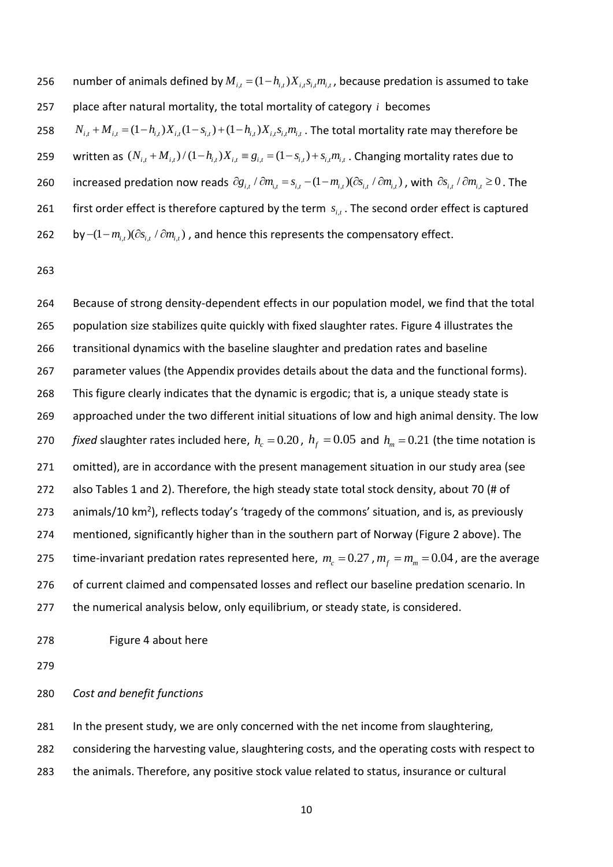256 humber of animals defined by  $M_{i,t} = (1-h_{i,t})X_{i,t}s_{i,t}m_{i,t}$ , because predation is assumed to take 257 place after natural mortality, the total mortality of category *i* becomes 257 place after natural mortality, the total mortality of category i becomes<br>258  $N_{i,t} + M_{i,t} = (1 - h_{i,t})X_{i,t}(1 - s_{i,t}) + (1 - h_{i,t})X_{i,t}s_{i,t}m_{i,t}$ . The total mortality rate may therefore be  $N_{i,t} + M_{i,t} - (1 - n_{i,t})X_{i,t}(1 - s_{i,t}) + (1 - n_{i,t})X_{i,t}X_{i,t}$ . The total mortality rate may therefore be<br>259 written as  $(N_{i,t} + M_{i,t})/(1 - h_{i,t})X_{i,t} = g_{i,t} = (1 - s_{i,t}) + s_{i,t}m_{i,t}$ . Changing mortality rates due to 260 increased predation now reads  $\partial g_{i,t} / \partial m_{i,t} = s_{i,t} - (1 - m_{i,t})(\partial s_{i,t} / \partial m_{i,t})$ , with  $\partial s_{i,t} / \partial m_{i,t} \ge 0$ . The 261 first order effect is therefore captured by the term  $s_{i,t}$ . The second order effect is captured 262 by  $-(1-m_{i,t})$  $(\partial s_{i,t} / \partial m_{i,t})$  , and hence this represents the compensatory effect.

263

264 Because of strong density-dependent effects in our population model, we find that the total 265 population size stabilizes quite quickly with fixed slaughter rates. Figure 4 illustrates the 266 transitional dynamics with the baseline slaughter and predation rates and baseline 267 parameter values (the Appendix provides details about the data and the functional forms). 268 This figure clearly indicates that the dynamic is ergodic; that is, a unique steady state is 269 approached under the two different initial situations of low and high animal density. The low *fixed* slaughter rates included here,  $h_c = 0.20$  ,  $h_f = 0.05$  and  $h_m = 0.21$  (the time notation is 270 271 omitted), are in accordance with the present management situation in our study area (see 272 also Tables 1 and 2). Therefore, the high steady state total stock density, about 70 (# of 273 animals/10 km<sup>2</sup>), reflects today's 'tragedy of the commons' situation, and is, as previously 274 mentioned, significantly higher than in the southern part of Norway (Figure 2 above). The time-invariant predation rates represented here,  $m_c = 0.27$  ,  $m_f = m_m = 0.04$  , are the average 275 276 of current claimed and compensated losses and reflect our baseline predation scenario. In 277 the numerical analysis below, only equilibrium, or steady state, is considered.

278 Figure 4 about here

279

280 *Cost and benefit functions*

281 In the present study, we are only concerned with the net income from slaughtering, 282 considering the harvesting value, slaughtering costs, and the operating costs with respect to 283 the animals. Therefore, any positive stock value related to status, insurance or cultural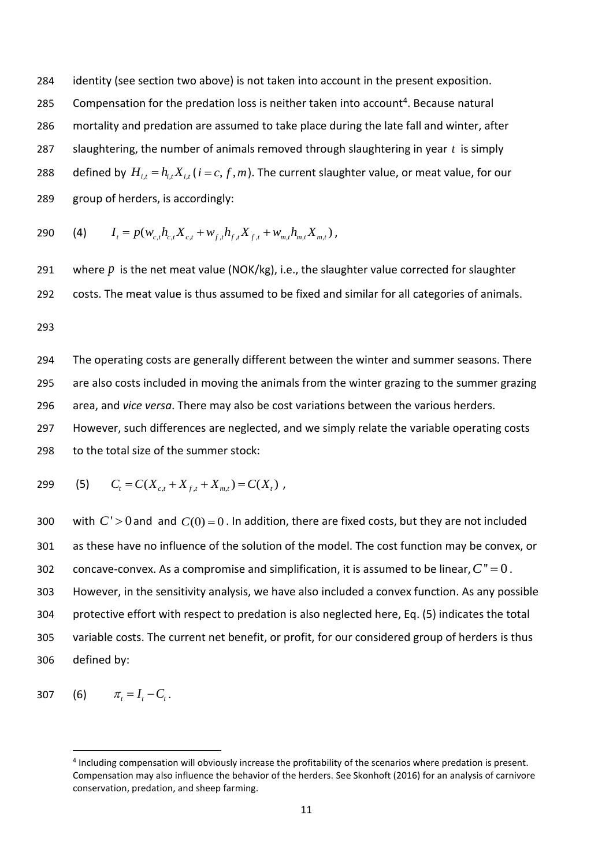284 identity (see section two above) is not taken into account in the present exposition. 285 Compensation for the predation loss is neither taken into account<sup>4</sup>. Because natural 286 mortality and predation are assumed to take place during the late fall and winter, after 287 slaughtering, the number of animals removed through slaughtering in year  $t$  is simply 288 defined by  $H_{i,t} = h_{i,t} X_{i,t}$  ( $i = c, f, m$ ). The current slaughter value, or meat value, for our 289 group of herders, is accordingly:

290 (4) 
$$
I_t = p(w_{c,t}h_{c,t}X_{c,t} + w_{f,t}h_{f,t}X_{f,t} + w_{m,t}h_{m,t}X_{m,t}),
$$

291 where  $p$  is the net meat value (NOK/kg), i.e., the slaughter value corrected for slaughter 292 costs. The meat value is thus assumed to be fixed and similar for all categories of animals.

293

 The operating costs are generally different between the winter and summer seasons. There are also costs included in moving the animals from the winter grazing to the summer grazing area, and *vice versa*. There may also be cost variations between the various herders. However, such differences are neglected, and we simply relate the variable operating costs to the total size of the summer stock:

299 (5) 
$$
C_t = C(X_{c,t} + X_{f,t} + X_{m,t}) = C(X_t)
$$
,

300 with  $C' > 0$  and and  $C(0) = 0$ . In addition, there are fixed costs, but they are not included as these have no influence of the solution of the model. The cost function may be convex, or 302 concave-convex. As a compromise and simplification, it is assumed to be linear,  $C$ <sup>"</sup> $= 0$ . However, in the sensitivity analysis, we have also included a convex function. As any possible protective effort with respect to predation is also neglected here, Eq. (5) indicates the total variable costs. The current net benefit, or profit, for our considered group of herders is thus defined by:

307 (6) 
$$
\pi_t = I_t - C_t
$$
.

**.** 

<sup>&</sup>lt;sup>4</sup> Including compensation will obviously increase the profitability of the scenarios where predation is present. Compensation may also influence the behavior of the herders. See Skonhoft (2016) for an analysis of carnivore conservation, predation, and sheep farming.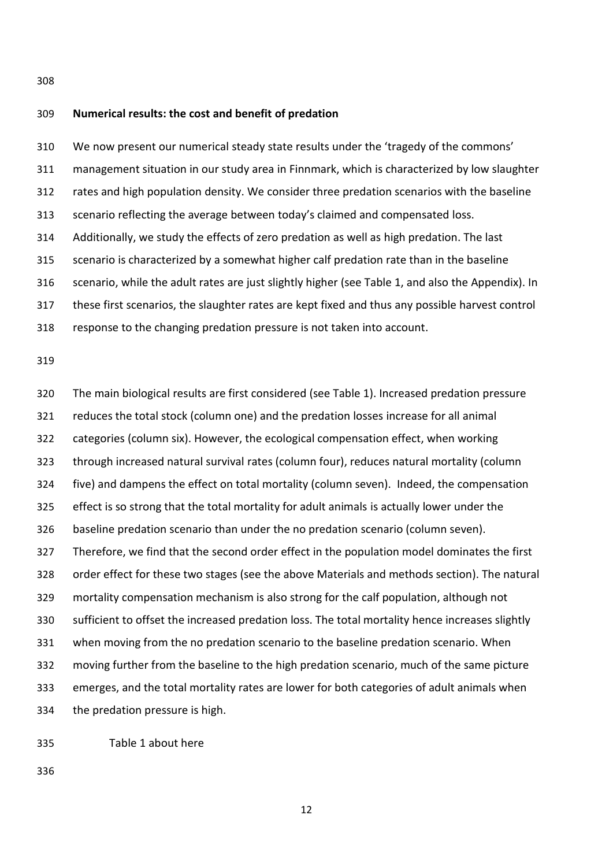## **Numerical results: the cost and benefit of predation**

 We now present our numerical steady state results under the 'tragedy of the commons' management situation in our study area in Finnmark, which is characterized by low slaughter rates and high population density. We consider three predation scenarios with the baseline scenario reflecting the average between today's claimed and compensated loss. Additionally, we study the effects of zero predation as well as high predation. The last scenario is characterized by a somewhat higher calf predation rate than in the baseline scenario, while the adult rates are just slightly higher (see Table 1, and also the Appendix). In these first scenarios, the slaughter rates are kept fixed and thus any possible harvest control response to the changing predation pressure is not taken into account.

 The main biological results are first considered (see Table 1). Increased predation pressure reduces the total stock (column one) and the predation losses increase for all animal categories (column six). However, the ecological compensation effect, when working through increased natural survival rates (column four), reduces natural mortality (column five) and dampens the effect on total mortality (column seven). Indeed, the compensation effect is so strong that the total mortality for adult animals is actually lower under the baseline predation scenario than under the no predation scenario (column seven). Therefore, we find that the second order effect in the population model dominates the first order effect for these two stages (see the above Materials and methods section). The natural mortality compensation mechanism is also strong for the calf population, although not sufficient to offset the increased predation loss. The total mortality hence increases slightly when moving from the no predation scenario to the baseline predation scenario. When moving further from the baseline to the high predation scenario, much of the same picture emerges, and the total mortality rates are lower for both categories of adult animals when the predation pressure is high.

Table 1 about here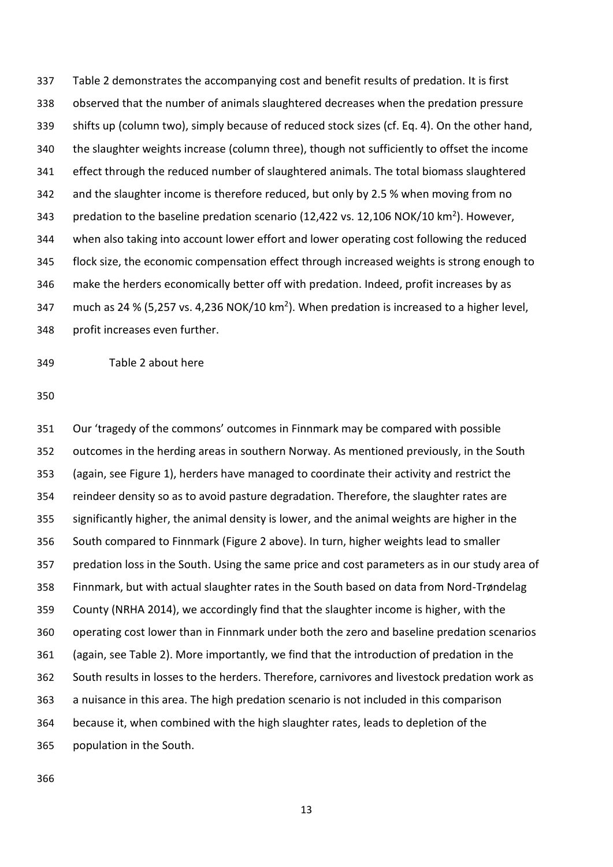Table 2 demonstrates the accompanying cost and benefit results of predation. It is first observed that the number of animals slaughtered decreases when the predation pressure shifts up (column two), simply because of reduced stock sizes (cf. Eq. 4). On the other hand, the slaughter weights increase (column three), though not sufficiently to offset the income effect through the reduced number of slaughtered animals. The total biomass slaughtered and the slaughter income is therefore reduced, but only by 2.5 % when moving from no 343 predation to the baseline predation scenario (12,422 vs. 12,106 NOK/10 km<sup>2</sup>). However, when also taking into account lower effort and lower operating cost following the reduced flock size, the economic compensation effect through increased weights is strong enough to make the herders economically better off with predation. Indeed, profit increases by as 347 much as 24 % (5,257 vs. 4,236 NOK/10 km<sup>2</sup>). When predation is increased to a higher level, profit increases even further.

Table 2 about here

 Our 'tragedy of the commons' outcomes in Finnmark may be compared with possible outcomes in the herding areas in southern Norway. As mentioned previously, in the South (again, see Figure 1), herders have managed to coordinate their activity and restrict the reindeer density so as to avoid pasture degradation. Therefore, the slaughter rates are significantly higher, the animal density is lower, and the animal weights are higher in the South compared to Finnmark (Figure 2 above). In turn, higher weights lead to smaller predation loss in the South. Using the same price and cost parameters as in our study area of Finnmark, but with actual slaughter rates in the South based on data from Nord-Trøndelag County (NRHA 2014), we accordingly find that the slaughter income is higher, with the operating cost lower than in Finnmark under both the zero and baseline predation scenarios (again, see Table 2). More importantly, we find that the introduction of predation in the South results in losses to the herders. Therefore, carnivores and livestock predation work as a nuisance in this area. The high predation scenario is not included in this comparison because it, when combined with the high slaughter rates, leads to depletion of the population in the South.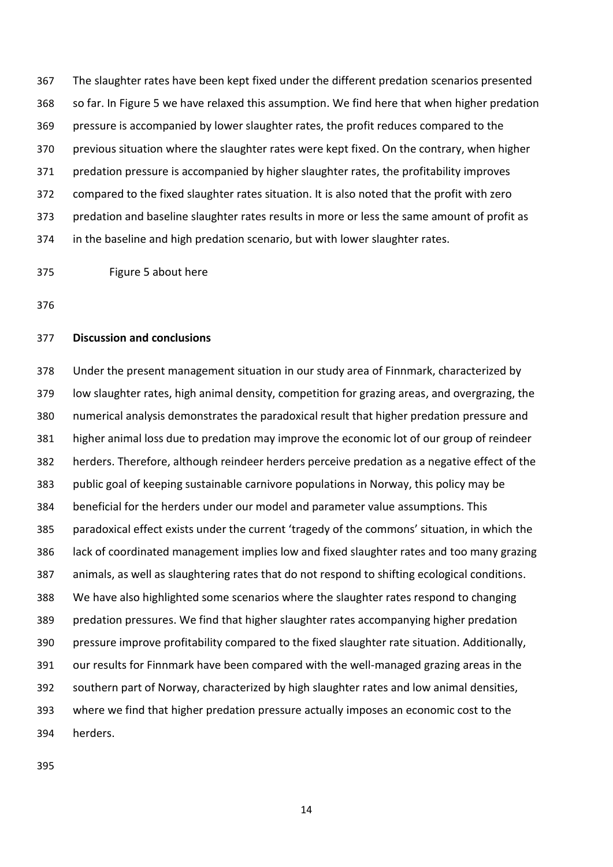The slaughter rates have been kept fixed under the different predation scenarios presented so far. In Figure 5 we have relaxed this assumption. We find here that when higher predation pressure is accompanied by lower slaughter rates, the profit reduces compared to the previous situation where the slaughter rates were kept fixed. On the contrary, when higher predation pressure is accompanied by higher slaughter rates, the profitability improves compared to the fixed slaughter rates situation. It is also noted that the profit with zero predation and baseline slaughter rates results in more or less the same amount of profit as in the baseline and high predation scenario, but with lower slaughter rates.

Figure 5 about here

### **Discussion and conclusions**

 Under the present management situation in our study area of Finnmark, characterized by low slaughter rates, high animal density, competition for grazing areas, and overgrazing, the numerical analysis demonstrates the paradoxical result that higher predation pressure and higher animal loss due to predation may improve the economic lot of our group of reindeer herders. Therefore, although reindeer herders perceive predation as a negative effect of the public goal of keeping sustainable carnivore populations in Norway, this policy may be beneficial for the herders under our model and parameter value assumptions. This paradoxical effect exists under the current 'tragedy of the commons' situation, in which the lack of coordinated management implies low and fixed slaughter rates and too many grazing animals, as well as slaughtering rates that do not respond to shifting ecological conditions. We have also highlighted some scenarios where the slaughter rates respond to changing predation pressures. We find that higher slaughter rates accompanying higher predation pressure improve profitability compared to the fixed slaughter rate situation. Additionally, our results for Finnmark have been compared with the well-managed grazing areas in the southern part of Norway, characterized by high slaughter rates and low animal densities, where we find that higher predation pressure actually imposes an economic cost to the herders.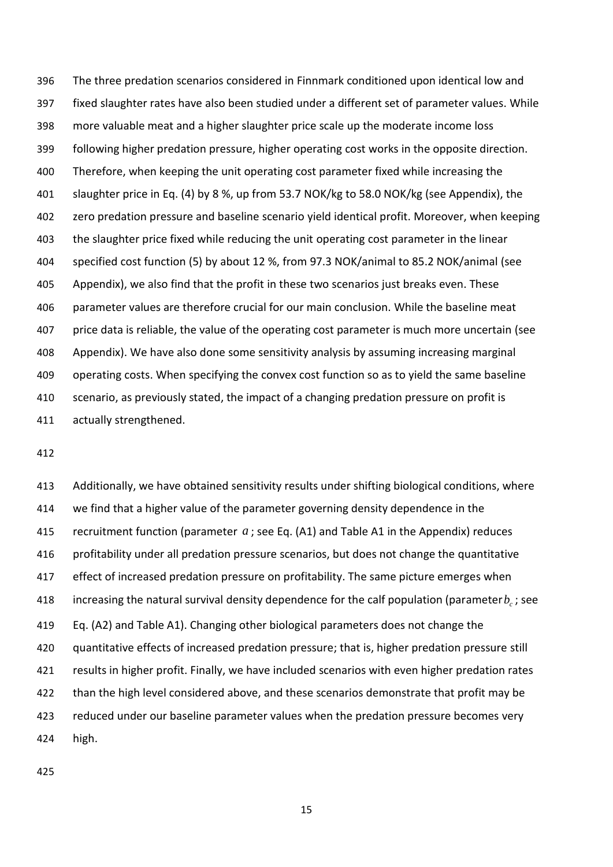The three predation scenarios considered in Finnmark conditioned upon identical low and fixed slaughter rates have also been studied under a different set of parameter values. While more valuable meat and a higher slaughter price scale up the moderate income loss following higher predation pressure, higher operating cost works in the opposite direction. Therefore, when keeping the unit operating cost parameter fixed while increasing the slaughter price in Eq. (4) by 8 %, up from 53.7 NOK/kg to 58.0 NOK/kg (see Appendix), the zero predation pressure and baseline scenario yield identical profit. Moreover, when keeping the slaughter price fixed while reducing the unit operating cost parameter in the linear specified cost function (5) by about 12 %, from 97.3 NOK/animal to 85.2 NOK/animal (see Appendix), we also find that the profit in these two scenarios just breaks even. These parameter values are therefore crucial for our main conclusion. While the baseline meat price data is reliable, the value of the operating cost parameter is much more uncertain (see Appendix). We have also done some sensitivity analysis by assuming increasing marginal operating costs. When specifying the convex cost function so as to yield the same baseline scenario, as previously stated, the impact of a changing predation pressure on profit is actually strengthened.

 Additionally, we have obtained sensitivity results under shifting biological conditions, where we find that a higher value of the parameter governing density dependence in the 415 recruitment function (parameter  $a$ ; see Eq. (A1) and Table A1 in the Appendix) reduces profitability under all predation pressure scenarios, but does not change the quantitative effect of increased predation pressure on profitability. The same picture emerges when increasing the natural survival density dependence for the calf population (parameter $b_c$ ; see Eq. (A2) and Table A1). Changing other biological parameters does not change the quantitative effects of increased predation pressure; that is, higher predation pressure still results in higher profit. Finally, we have included scenarios with even higher predation rates than the high level considered above, and these scenarios demonstrate that profit may be reduced under our baseline parameter values when the predation pressure becomes very high.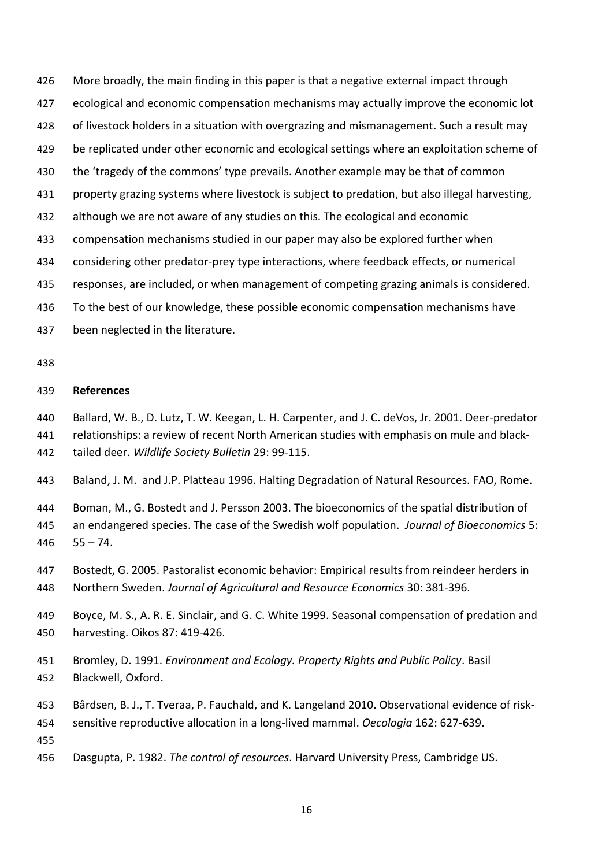More broadly, the main finding in this paper is that a negative external impact through ecological and economic compensation mechanisms may actually improve the economic lot of livestock holders in a situation with overgrazing and mismanagement. Such a result may 429 be replicated under other economic and ecological settings where an exploitation scheme of the 'tragedy of the commons' type prevails. Another example may be that of common property grazing systems where livestock is subject to predation, but also illegal harvesting, although we are not aware of any studies on this. The ecological and economic compensation mechanisms studied in our paper may also be explored further when considering other predator-prey type interactions, where feedback effects, or numerical responses, are included, or when management of competing grazing animals is considered. To the best of our knowledge, these possible economic compensation mechanisms have

been neglected in the literature.

## **References**

Ballard, W. B., D. Lutz, T. W. Keegan, L. H. Carpenter, and J. C. deVos, Jr. 2001. Deer-predator

relationships: a review of recent North American studies with emphasis on mule and black-

- tailed deer. *Wildlife Society Bulletin* 29: 99-115.
- Baland, J. M. and J.P. Platteau 1996. Halting Degradation of Natural Resources. FAO, Rome.
- Boman, M., G. Bostedt and J. Persson 2003. The bioeconomics of the spatial distribution of an endangered species. The case of the Swedish wolf population. *Journal of Bioeconomics* 5: 55 – 74.
- Bostedt, G. 2005. Pastoralist economic behavior: Empirical results from reindeer herders in Northern Sweden. *Journal of Agricultural and Resource Economics* 30: 381-396.
- Boyce, M. S., A. R. E. Sinclair, and G. C. White 1999. Seasonal compensation of predation and harvesting. Oikos 87: 419-426.
- Bromley, D. 1991. *Environment and Ecology. Property Rights and Public Policy*. Basil Blackwell, Oxford.
- Bårdsen, B. J., T. Tveraa, P. Fauchald, and K. Langeland 2010. Observational evidence of risk-
- sensitive reproductive allocation in a long-lived mammal. *Oecologia* 162: 627-639.
- Dasgupta, P. 1982. *The control of resources*. Harvard University Press, Cambridge US.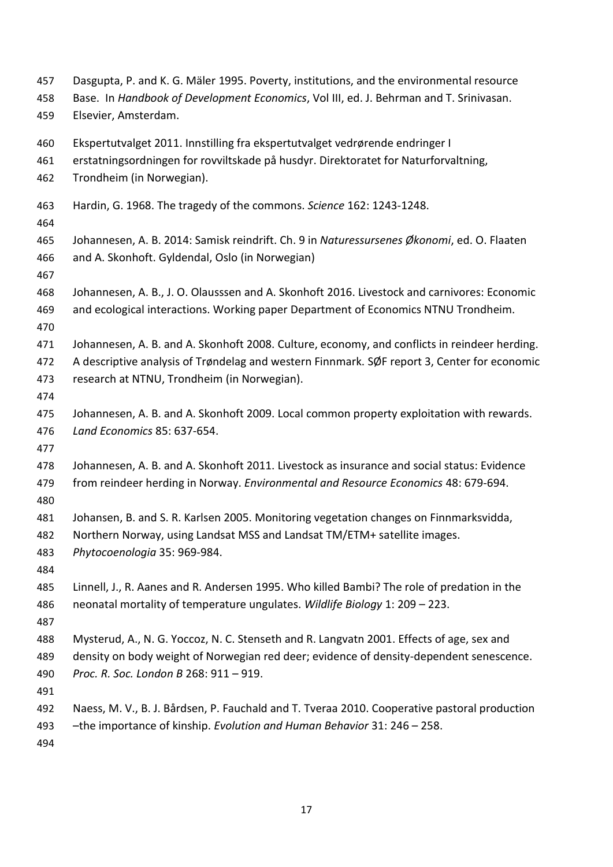- Dasgupta, P. and K. G. Mäler 1995. Poverty, institutions, and the environmental resource
- Base. In *Handbook of Development Economics*, Vol III, ed. J. Behrman and T. Srinivasan.
- Elsevier, Amsterdam.
- Ekspertutvalget 2011. Innstilling fra ekspertutvalget vedrørende endringer I
- erstatningsordningen for rovviltskade på husdyr. Direktoratet for Naturforvaltning,
- Trondheim (in Norwegian).
- Hardin, G. 1968. The tragedy of the commons. *Science* 162: 1243-1248.
- 
- Johannesen, A. B. 2014: Samisk reindrift. Ch. 9 in *Naturessursenes Økonomi*, ed. O. Flaaten and A. Skonhoft. Gyldendal, Oslo (in Norwegian)
- 
- Johannesen, A. B., J. O. Olausssen and A. Skonhoft 2016. Livestock and carnivores: Economic and ecological interactions. Working paper Department of Economics NTNU Trondheim.
- 
- Johannesen, A. B. and A. Skonhoft 2008. Culture, economy, and conflicts in reindeer herding. A descriptive analysis of Trøndelag and western Finnmark. SØF report 3, Center for economic
- research at NTNU, Trondheim (in Norwegian).
- 
- Johannesen, A. B. and A. Skonhoft 2009. Local common property exploitation with rewards. *Land Economics* 85: 637-654.
- 
- Johannesen, A. B. and A. Skonhoft 2011. Livestock as insurance and social status: Evidence from reindeer herding in Norway. *Environmental and Resource Economics* 48: 679-694.
- 
- Johansen, B. and S. R. Karlsen 2005. Monitoring vegetation changes on Finnmarksvidda,
- Northern Norway, using Landsat MSS and Landsat TM/ETM+ satellite images.
- *Phytocoenologia* 35: 969-984.
- 
- Linnell, J., R. Aanes and R. Andersen 1995. Who killed Bambi? The role of predation in the neonatal mortality of temperature ungulates. *Wildlife Biology* 1: 209 – 223.
- 
- Mysterud, A., N. G. Yoccoz, N. C. Stenseth and R. Langvatn 2001. Effects of age, sex and density on body weight of Norwegian red deer; evidence of density-dependent senescence. *Proc. R. Soc. London B* 268: 911 – 919.
- 
- Naess, M. V., B. J. Bårdsen, P. Fauchald and T. Tveraa 2010. Cooperative pastoral production –the importance of kinship. *Evolution and Human Behavior* 31: 246 – 258.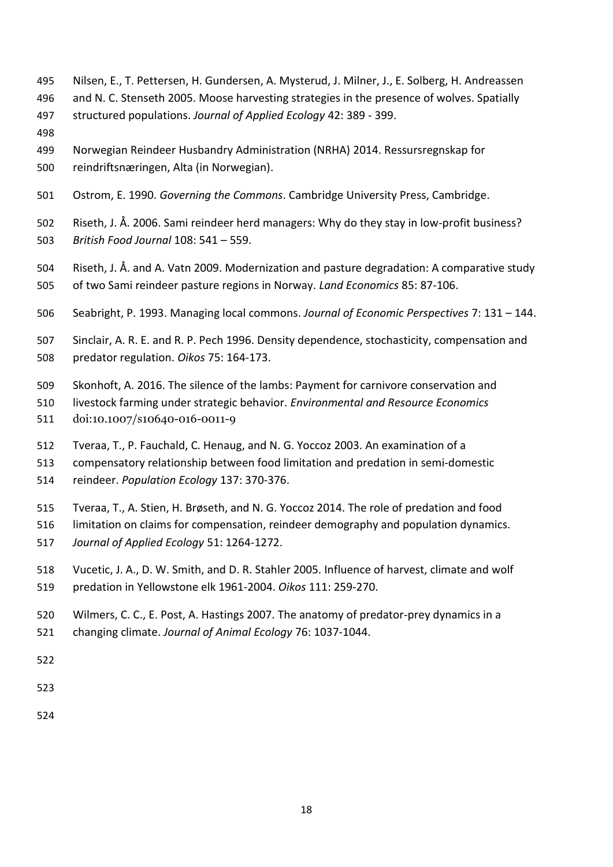- Nilsen, E., T. Pettersen, H. Gundersen, A. Mysterud, J. Milner, J., E. Solberg, H. Andreassen
- and N. C. Stenseth 2005. Moose harvesting strategies in the presence of wolves. Spatially
- structured populations. *Journal of Applied Ecology* 42: 389 399.
- 
- Norwegian Reindeer Husbandry Administration (NRHA) 2014. Ressursregnskap for reindriftsnæringen, Alta (in Norwegian).
- Ostrom, E. 1990. *Governing the Commons*. Cambridge University Press, Cambridge.
- Riseth, J. Å. 2006. Sami reindeer herd managers: Why do they stay in low-profit business? *British Food Journal* 108: 541 – 559.
- Riseth, J. Å. and A. Vatn 2009. Modernization and pasture degradation: A comparative study of two Sami reindeer pasture regions in Norway. *Land Economics* 85: 87-106.
- Seabright, P. 1993. Managing local commons. *Journal of Economic Perspectives* 7: 131 144.
- Sinclair, A. R. E. and R. P. Pech 1996. Density dependence, stochasticity, compensation and predator regulation. *Oikos* 75: 164-173.
- Skonhoft, A. 2016. The silence of the lambs: Payment for carnivore conservation and
- livestock farming under strategic behavior. *Environmental and Resource Economics*
- doi:10.1007/s10640-016-0011-9
- Tveraa, T., P. Fauchald, C. Henaug, and N. G. Yoccoz 2003. An examination of a
- compensatory relationship between food limitation and predation in semi-domestic reindeer. *Population Ecology* 137: 370-376.
- Tveraa, T., A. Stien, H. Brøseth, and N. G. Yoccoz 2014. The role of predation and food
- limitation on claims for compensation, reindeer demography and population dynamics. *Journal of Applied Ecology* 51: 1264-1272.
- Vucetic, J. A., D. W. Smith, and D. R. Stahler 2005. Influence of harvest, climate and wolf predation in Yellowstone elk 1961-2004. *Oikos* 111: 259-270.
- Wilmers, C. C., E. Post, A. Hastings 2007. The anatomy of predator-prey dynamics in a changing climate. *Journal of Animal Ecology* 76: 1037-1044.
- 
- 
-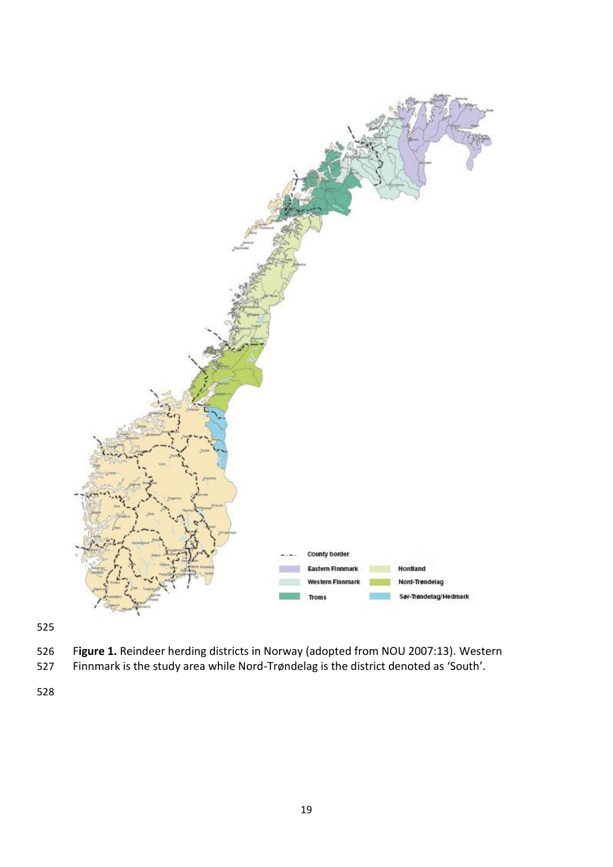

- F**igure 1.** Reindeer herding districts in Norway (adopted from NOU 2007:13). Western
- Finnmark is the study area while Nord-Trøndelag is the district denoted as 'South'.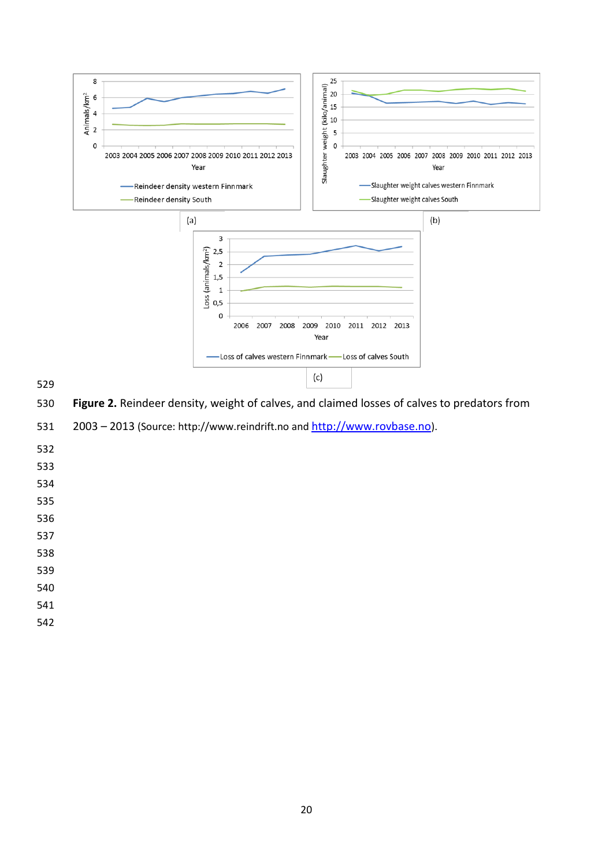



**Figure 2.** Reindeer density, weight of calves, and claimed losses of calves to predators from

- 
- 
- 
- 
- 
- 
- 
- 
- 
- 
- 
- 

2003 – 2013 (Source: http://www.reindrift.no and [http://www.rovbase.no](http://www.rovbase.no/)).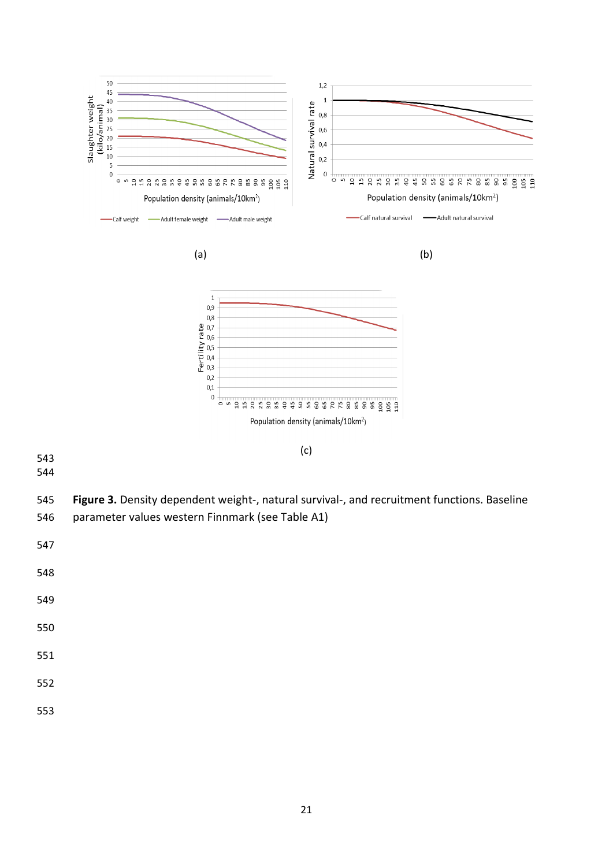

- **Figure 3.** Density dependent weight-, natural survival-, and recruitment functions. Baseline
- parameter values western Finnmark (see Table A1)

- 
- 
- 
- 
- 
-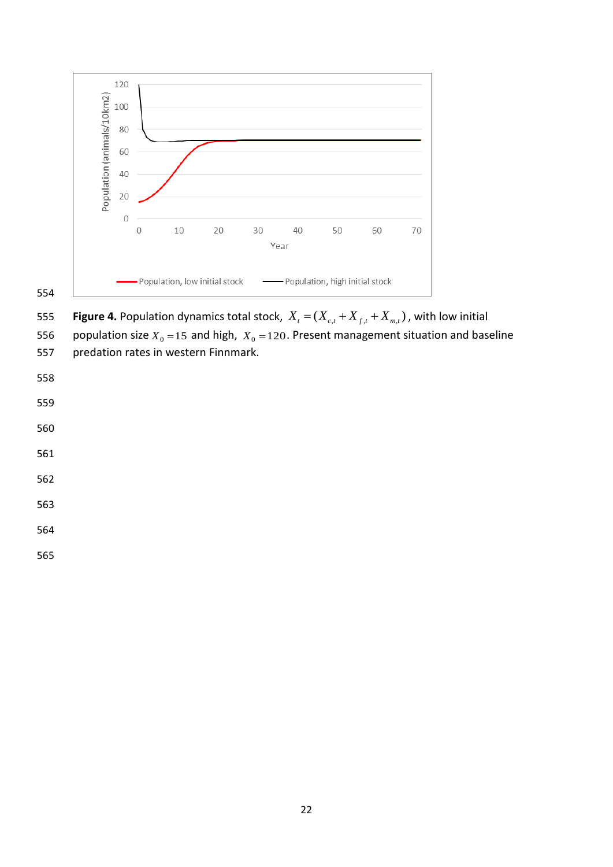



**Figure 4.** Population dynamics total stock,  $X_{t} = (X_{c,t} + X_{f,t} + X_{m,t})$ , with low initial 

556 population size  $X_0 = 15$  and high,  $X_0 = 120$ . Present management situation and baseline predation rates in western Finnmark.

- 
- 
- 
- 
- 
- 
-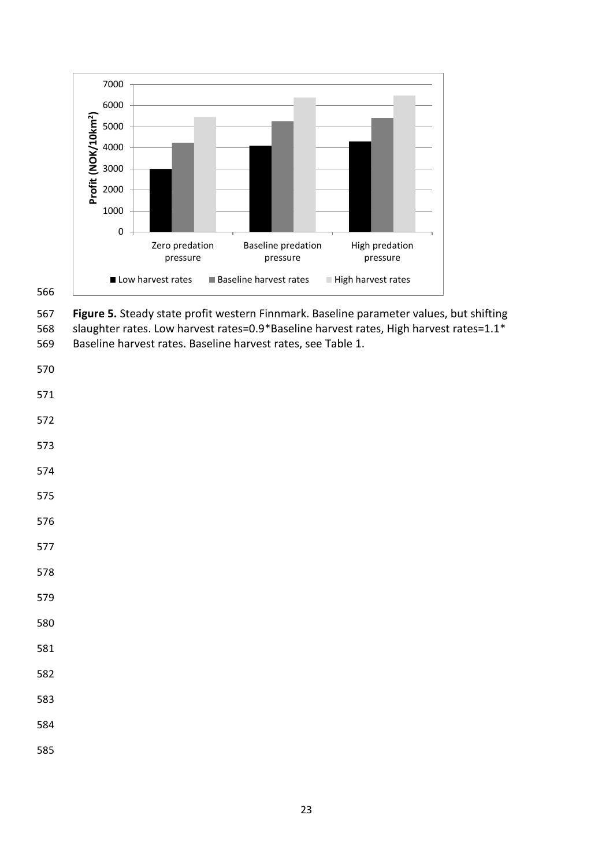

 **Figure 5.** Steady state profit western Finnmark. Baseline parameter values, but shifting 568 slaughter rates. Low harvest rates=0.9\*Baseline harvest rates, High harvest rates=1.1\* Baseline harvest rates. Baseline harvest rates, see Table 1.

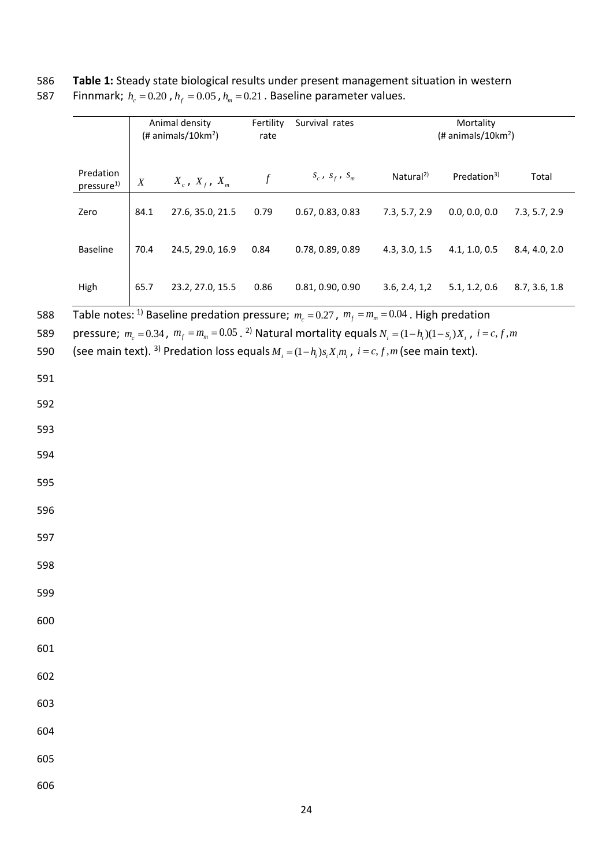|                                     |      | Animal density<br>(# animals/ $10km^2$ ) | Fertility<br>rate | Survival rates        |                       | Mortality<br>(# animals/ $10km^2$ ) |               |
|-------------------------------------|------|------------------------------------------|-------------------|-----------------------|-----------------------|-------------------------------------|---------------|
| Predation<br>pressure <sup>1)</sup> | X    | $X_{c}$ , $\;X_{_{f}}$ , $\;X_{_{m}}$    | $\boldsymbol{f}$  | $S_c$ , $S_f$ , $S_m$ | Natural <sup>2)</sup> | Predation <sup>3)</sup>             | Total         |
| Zero                                | 84.1 | 27.6, 35.0, 21.5                         | 0.79              | 0.67, 0.83, 0.83      | 7.3, 5.7, 2.9         | 0.0, 0.0, 0.0                       | 7.3, 5.7, 2.9 |
| <b>Baseline</b>                     | 70.4 | 24.5, 29.0, 16.9                         | 0.84              | 0.78, 0.89, 0.89      | 4.3, 3.0, 1.5         | 4.1, 1.0, 0.5                       | 8.4, 4.0, 2.0 |
| High                                | 65.7 | 23.2, 27.0, 15.5                         | 0.86              | 0.81, 0.90, 0.90      | 3.6, 2.4, 1, 2        | 5.1, 1.2, 0.6                       | 8.7, 3.6, 1.8 |
|                                     |      |                                          |                   |                       |                       |                                     |               |
|                                     |      |                                          |                   |                       |                       |                                     |               |
|                                     |      |                                          |                   |                       |                       |                                     |               |
|                                     |      |                                          |                   |                       |                       |                                     |               |
|                                     |      |                                          |                   |                       |                       |                                     |               |
|                                     |      |                                          |                   |                       |                       |                                     |               |
|                                     |      |                                          |                   |                       |                       |                                     |               |
|                                     |      |                                          |                   |                       |                       |                                     |               |
|                                     |      |                                          |                   |                       |                       |                                     |               |

586 **Table 1:** Steady state biological results under present management situation in western 587 Finnmark;  $h_c = 0.20$ ,  $h_f = 0.05$ ,  $h_m = 0.21$ . Baseline parameter values.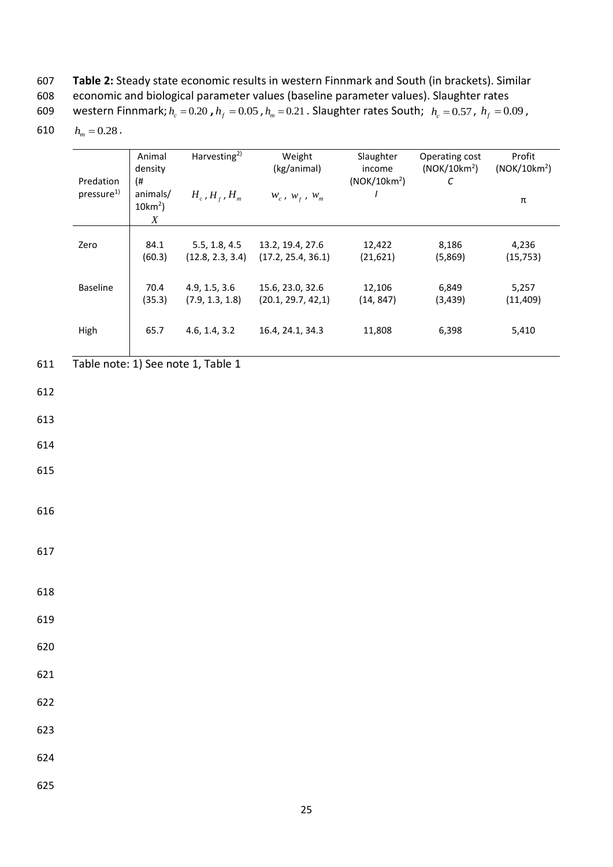- 607 **Table 2:** Steady state economic results in western Finnmark and South (in brackets). Similar
- 608 economic and biological parameter values (baseline parameter values). Slaughter rates

western Finnmark;  $h_c = 0.20$  ,  $h_f = 0.05$  ,  $h_m = 0.21$  . Slaughter rates South;  $h_c = 0.57$  ,  $h_f = 0.09$  , 609

610  $h_m = 0.28$ .

|     |                                     | Animal<br>density                                | Harvesting <sup>2)</sup>           | Weight<br>(kg/animal)                  | Slaughter<br>income                  | Operating cost<br>(NOK/10km <sup>2</sup> ) | Profit<br>(NOK/10km <sup>2</sup> ) |
|-----|-------------------------------------|--------------------------------------------------|------------------------------------|----------------------------------------|--------------------------------------|--------------------------------------------|------------------------------------|
|     | Predation<br>pressure <sup>1)</sup> | (#<br>animals/<br>$10km^2$ )<br>$\boldsymbol{X}$ | $H_{c}$ , $H_{f}$ , $H_{m}$        | $W_c$ , $W_f$ , $W_m$                  | (NOK/10km <sup>2</sup> )<br>$\prime$ | $\cal C$                                   | $\pmb{\pi}$                        |
|     | Zero                                | 84.1<br>(60.3)                                   | 5.5, 1.8, 4.5<br>(12.8, 2.3, 3.4)  | 13.2, 19.4, 27.6<br>(17.2, 25.4, 36.1) | 12,422<br>(21, 621)                  | 8,186<br>(5,869)                           | 4,236<br>(15, 753)                 |
|     | Baseline                            | 70.4<br>(35.3)                                   | 4.9, 1.5, 3.6<br>(7.9, 1.3, 1.8)   | 15.6, 23.0, 32.6<br>(20.1, 29.7, 42.1) | 12,106<br>(14, 847)                  | 6,849<br>(3, 439)                          | 5,257<br>(11, 409)                 |
|     | High                                | 65.7                                             | 4.6, 1.4, 3.2                      | 16.4, 24.1, 34.3                       | 11,808                               | 6,398                                      | 5,410                              |
| 611 |                                     |                                                  | Table note: 1) See note 1, Table 1 |                                        |                                      |                                            |                                    |
| 612 |                                     |                                                  |                                    |                                        |                                      |                                            |                                    |
| 613 |                                     |                                                  |                                    |                                        |                                      |                                            |                                    |
| 614 |                                     |                                                  |                                    |                                        |                                      |                                            |                                    |
| 615 |                                     |                                                  |                                    |                                        |                                      |                                            |                                    |
| 616 |                                     |                                                  |                                    |                                        |                                      |                                            |                                    |
| 617 |                                     |                                                  |                                    |                                        |                                      |                                            |                                    |
| 618 |                                     |                                                  |                                    |                                        |                                      |                                            |                                    |
| 619 |                                     |                                                  |                                    |                                        |                                      |                                            |                                    |
| 620 |                                     |                                                  |                                    |                                        |                                      |                                            |                                    |
| 621 |                                     |                                                  |                                    |                                        |                                      |                                            |                                    |
| 622 |                                     |                                                  |                                    |                                        |                                      |                                            |                                    |
| 623 |                                     |                                                  |                                    |                                        |                                      |                                            |                                    |
| 624 |                                     |                                                  |                                    |                                        |                                      |                                            |                                    |
| 625 |                                     |                                                  |                                    |                                        |                                      |                                            |                                    |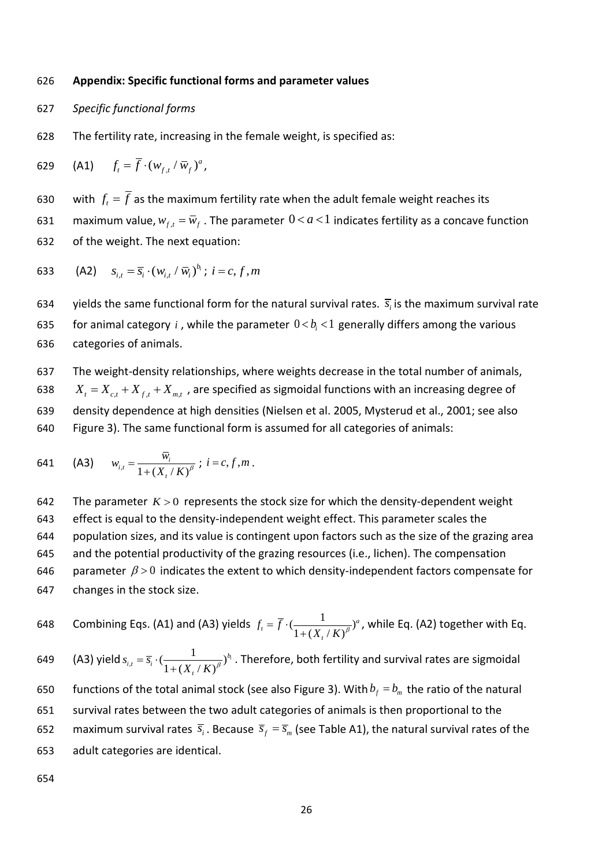#### 626 **Appendix: Specific functional forms and parameter values**

- 627 *Specific functional forms*
- 628 The fertility rate, increasing in the female weight, is specified as:

629 (A1)  $f_t = \overline{f} \cdot (w_{f,t} / \overline{w}_f)^a$ ,

630 with  $f_t = \overline{f}$  as the maximum fertility rate when the adult female weight reaches its 631 maximum value,  $w_{f,t} = \overline{w}_f$ . The parameter  $0 < a < 1$  indicates fertility as a concave function

- 632 of the weight. The next equation:
- 633 (A2)  $s_{i,t} = \overline{s_i} \cdot (w_{i,t} / \overline{w_i})^{b_i}$ ;  $i = c, f, m$
- 634 yields the same functional form for the natural survival rates.  $\bar{s_i}$  is the maximum survival rate 635 for animal category i, while the parameter  $0 < b<sub>i</sub> < 1$  generally differs among the various 636 categories of animals.

 The weight-density relationships, where weights decrease in the total number of animals,  $X_t = X_{t} + X_{t} + X_{m,t}$ , are specified as sigmoidal functions with an increasing degree of density dependence at high densities (Nielsen et al. 2005, Mysterud et al., 2001; see also Figure 3). The same functional form is assumed for all categories of animals:

641 (A3) 
$$
w_{i,t} = \frac{\overline{w}_i}{1 + (X_i/K)^{\beta}}; \ i = c, f, m.
$$

642 The parameter  $K > 0$  represents the stock size for which the density-dependent weight effect is equal to the density-independent weight effect. This parameter scales the population sizes, and its value is contingent upon factors such as the size of the grazing area and the potential productivity of the grazing resources (i.e., lichen). The compensation 646 parameter  $\beta > 0$  indicates the extent to which density-independent factors compensate for changes in the stock size.

648 Combining Eqs. (A1) and (A3) yields  $f_t = \overline{f} \cdot (\frac{1}{1 + (X - K)^{\beta}})^a$ , while Eq. (A2) together with Eq. 649 (A3) yield  $s_{i,t} = \overline{s_i} \cdot (\frac{1}{1 + (N - \mu)^{\beta}})^{b_i}$ . Therefore, both fertility and survival rates are sigmoidal 650 functions of the total animal stock (see also Figure 3). With  $b_f = b_m$  the ratio of the natural 651 survival rates between the two adult categories of animals is then proportional to the 652 maximum survival rates  $\bar{s}_i$ . Because  $\bar{s}_f = \bar{s}_m$  (see Table A1), the natural survival rates of the  $\frac{1 + (X_t/K)^{\beta}}{1 + (X_t/K)^{\beta}}$  $=\overline{f}\cdot\left(\frac{\overline{f}}{1+1}\right)$  $\vec{f} = \vec{f} \cdot \left( \frac{1}{1 + (Y + Y)^{\beta}} \right)^{a}$ *t*  $f_t = \overline{f}$  $\overline{X_t/K}$  $\left(\frac{1}{1+\left(K+\frac{K}{\beta}\right)^{\beta}}\right)$  $\frac{}{1 + (X_t/K)^{\beta}}$  $\bar{s}_{i}$ <sub>*i*</sub>,  $\left(\frac{1}{1 + (X_{t}/K)^{\beta}}\right)^{b_{i}}$  $s_{i,t} = \overline{s}$  $\frac{X_t}{K}$ 

653 adult categories are identical.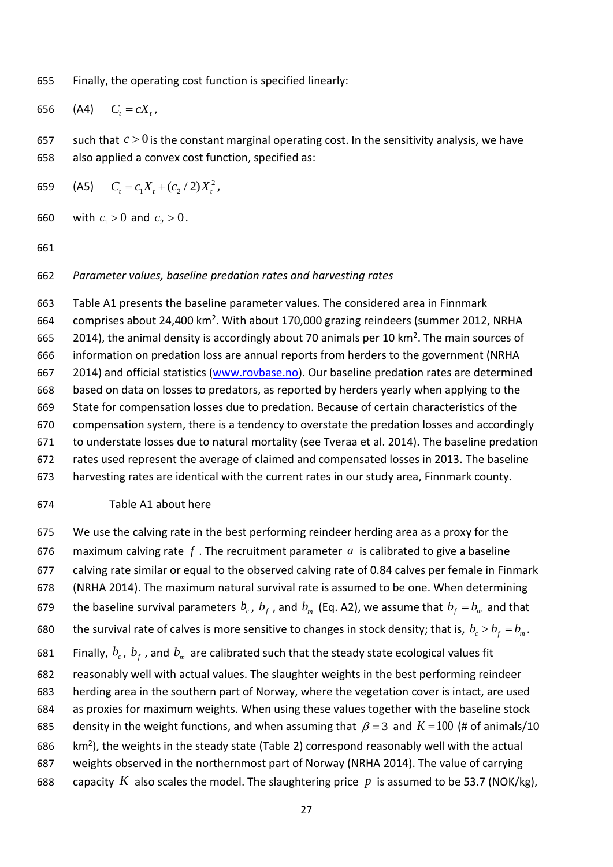Finally, the operating cost function is specified linearly:

$$
656 \qquad (A4) \qquad C_t = cX_t,
$$

657 such that  $c > 0$  is the constant marginal operating cost. In the sensitivity analysis, we have also applied a convex cost function, specified as:

(A5)  $C_t = c_1 X_t + (c_2 / 2) X_t^2$ , 

with  $c_1 > 0$  and  $c_2 > 0$ . 

# *Parameter values, baseline predation rates and harvesting rates*

 Table A1 presents the baseline parameter values. The considered area in Finnmark 664 comprises about 24,400 km<sup>2</sup>. With about 170,000 grazing reindeers (summer 2012, NRHA 665 2014), the animal density is accordingly about 70 animals per 10 km<sup>2</sup>. The main sources of information on predation loss are annual reports from herders to the government (NRHA 2014) and official statistics [\(www.rovbase.no\)](http://www.rovbase.no/). Our baseline predation rates are determined based on data on losses to predators, as reported by herders yearly when applying to the State for compensation losses due to predation. Because of certain characteristics of the compensation system, there is a tendency to overstate the predation losses and accordingly to understate losses due to natural mortality (see Tveraa et al. 2014). The baseline predation rates used represent the average of claimed and compensated losses in 2013. The baseline harvesting rates are identical with the current rates in our study area, Finnmark county.

## Table A1 about here

- We use the calving rate in the best performing reindeer herding area as a proxy for the 676 maximum calving rate  $f$ . The recruitment parameter  $a$  is calibrated to give a baseline
- calving rate similar or equal to the observed calving rate of 0.84 calves per female in Finmark
- (NRHA 2014). The maximum natural survival rate is assumed to be one. When determining
- 679 the baseline survival parameters  $b_c$ ,  $b_f$ , and  $b_m$  (Eq. A2), we assume that  $b_f = b_m$  and that
- 680 the survival rate of calves is more sensitive to changes in stock density; that is,  $b_c > b_f = b_m$ .

681 Finally,  $b_c$ ,  $b_f$ , and  $b_m$  are calibrated such that the steady state ecological values fit

- reasonably well with actual values. The slaughter weights in the best performing reindeer
- herding area in the southern part of Norway, where the vegetation cover is intact, are used
- as proxies for maximum weights. When using these values together with the baseline stock
- 685 density in the weight functions, and when assuming that  $\beta$  = 3 and  $K$  = 100 (# of animals/10
- 686  $\,$  km<sup>2</sup>), the weights in the steady state (Table 2) correspond reasonably well with the actual
- weights observed in the northernmost part of Norway (NRHA 2014). The value of carrying
- 688 capacity K also scales the model. The slaughtering price p is assumed to be 53.7 (NOK/kg),